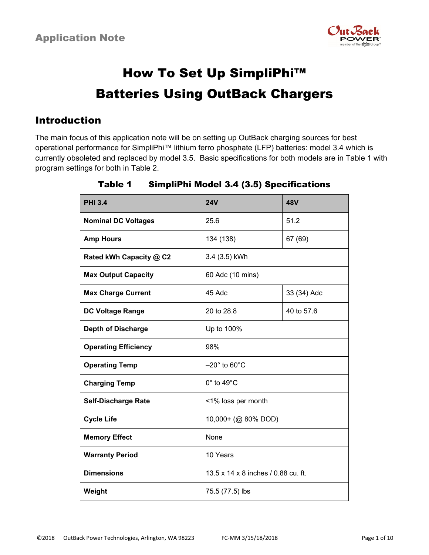

# How To Set Up SimpliPhi™ Batteries Using OutBack Chargers

### Introduction

The main focus of this application note will be on setting up OutBack charging sources for best operational performance for SimpliPhi™ lithium ferro phosphate (LFP) batteries: model 3.4 which is currently obsoleted and replaced by model 3.5. Basic specifications for both models are in Table 1 with program settings for both in Table 2.

| <b>PHI 3.4</b>              | <b>24V</b>                          | <b>48V</b>  |
|-----------------------------|-------------------------------------|-------------|
| <b>Nominal DC Voltages</b>  | 25.6                                | 51.2        |
| <b>Amp Hours</b>            | 134 (138)                           | 67 (69)     |
| Rated kWh Capacity @ C2     | 3.4 (3.5) kWh                       |             |
| <b>Max Output Capacity</b>  | 60 Adc (10 mins)                    |             |
| <b>Max Charge Current</b>   | 45 Adc                              | 33 (34) Adc |
| <b>DC Voltage Range</b>     | 20 to 28.8                          | 40 to 57.6  |
| <b>Depth of Discharge</b>   | Up to 100%                          |             |
| <b>Operating Efficiency</b> | 98%                                 |             |
| <b>Operating Temp</b>       | $-20^\circ$ to 60 $^\circ$ C        |             |
| <b>Charging Temp</b>        | $0^\circ$ to 49 $^\circ$ C          |             |
| <b>Self-Discharge Rate</b>  | <1% loss per month                  |             |
| <b>Cycle Life</b>           | 10,000+ (@ 80% DOD)                 |             |
| <b>Memory Effect</b>        | None                                |             |
| <b>Warranty Period</b>      | 10 Years                            |             |
| <b>Dimensions</b>           | 13.5 x 14 x 8 inches / 0.88 cu. ft. |             |
| Weight                      | 75.5 (77.5) lbs                     |             |

### Table 1 SimpliPhi Model 3.4 (3.5) Specifications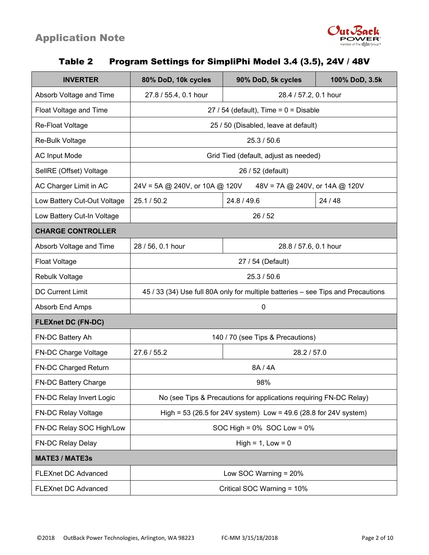

### Table 2 Program Settings for SimpliPhi Model 3.4 (3.5), 24V / 48V

| <b>INVERTER</b>             | 80% DoD, 10k cycles                                                              | 90% DoD, 5k cycles    | 100% DoD, 3.5k |  |
|-----------------------------|----------------------------------------------------------------------------------|-----------------------|----------------|--|
| Absorb Voltage and Time     | 27.8 / 55.4, 0.1 hour<br>28.4 / 57.2, 0.1 hour                                   |                       |                |  |
| Float Voltage and Time      | $27/54$ (default), Time = $0 =$ Disable                                          |                       |                |  |
| Re-Float Voltage            | 25 / 50 (Disabled, leave at default)                                             |                       |                |  |
| Re-Bulk Voltage             | 25.3 / 50.6                                                                      |                       |                |  |
| <b>AC Input Mode</b>        | Grid Tied (default, adjust as needed)                                            |                       |                |  |
| SellRE (Offset) Voltage     | 26 / 52 (default)                                                                |                       |                |  |
| AC Charger Limit in AC      | 24V = 5A @ 240V, or 10A @ 120V<br>48V = 7A @ 240V, or 14A @ 120V                 |                       |                |  |
| Low Battery Cut-Out Voltage | 25.1/50.2                                                                        | 24.8 / 49.6           | 24 / 48        |  |
| Low Battery Cut-In Voltage  | 26/52                                                                            |                       |                |  |
| <b>CHARGE CONTROLLER</b>    |                                                                                  |                       |                |  |
| Absorb Voltage and Time     | 28 / 56, 0.1 hour                                                                | 28.8 / 57.6, 0.1 hour |                |  |
| <b>Float Voltage</b>        | 27 / 54 (Default)                                                                |                       |                |  |
| <b>Rebulk Voltage</b>       | 25.3 / 50.6                                                                      |                       |                |  |
| <b>DC Current Limit</b>     | 45 / 33 (34) Use full 80A only for multiple batteries - see Tips and Precautions |                       |                |  |
| Absorb End Amps             | 0                                                                                |                       |                |  |
| <b>FLEXnet DC (FN-DC)</b>   |                                                                                  |                       |                |  |
| FN-DC Battery Ah            | 140 / 70 (see Tips & Precautions)                                                |                       |                |  |
| FN-DC Charge Voltage        | 27.6 / 55.2                                                                      | 28.2 / 57.0           |                |  |
| FN-DC Charged Return        | 8A / 4A                                                                          |                       |                |  |
| FN-DC Battery Charge        | 98%                                                                              |                       |                |  |
| FN-DC Relay Invert Logic    | No (see Tips & Precautions for applications requiring FN-DC Relay)               |                       |                |  |
| <b>FN-DC Relay Voltage</b>  | High = 53 (26.5 for 24V system) Low = 49.6 (28.8 for 24V system)                 |                       |                |  |
| FN-DC Relay SOC High/Low    | SOC High = $0\%$ SOC Low = $0\%$                                                 |                       |                |  |
| FN-DC Relay Delay           | $High = 1, Low = 0$                                                              |                       |                |  |
| <b>MATE3 / MATE3s</b>       |                                                                                  |                       |                |  |
| <b>FLEXnet DC Advanced</b>  | Low SOC Warning = 20%                                                            |                       |                |  |
| <b>FLEXnet DC Advanced</b>  | Critical SOC Warning = 10%                                                       |                       |                |  |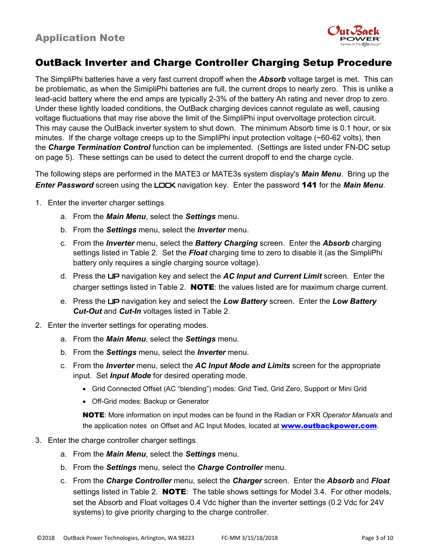

# OutBack Inverter and Charge Controller Charging Setup Procedure

The SimpliPhi batteries have a very fast current dropoff when the *Absorb* voltage target is met. This can be problematic, as when the SimipliPhi batteries are full, the current drops to nearly zero. This is unlike a lead-acid battery where the end amps are typically 2-3% of the battery Ah rating and never drop to zero. Under these lightly loaded conditions, the OutBack charging devices cannot regulate as well, causing voltage fluctuations that may rise above the limit of the SimpliPhi input overvoltage protection circuit. This may cause the OutBack inverter system to shut down. The minimum Absorb time is 0.1 hour, or six minutes. If the charge voltage creeps up to the SimpliPhi input protection voltage (~60-62 volts), then the *Charge Termination Control* function can be implemented. (Settings are listed under FN-DC setup on page 5). These settings can be used to detect the current dropoff to end the charge cycle.

The following steps are performed in the MATE3 or MATE3s system display's *Main Menu*. Bring up the *Enter Password* screen using the LOCK navigation key. Enter the password 141 for the *Main Menu*.

- 1. Enter the inverter charger settings.
	- a. From the *Main Menu*, select the *Settings* menu.
	- b. From the *Settings* menu, select the *Inverter* menu.
	- c. From the *Inverter* menu, select the *Battery Charging* screen. Enter the *Absorb* charging settings listed in Table 2. Set the *Float* charging time to zero to disable it (as the SimpliPhi battery only requires a single charging source voltage).
	- d. Press the UP navigation key and select the *AC Input and Current Limit* screen. Enter the charger settings listed in Table 2. **NOTE**: the values listed are for maximum charge current.
	- e. Press the UP navigation key and select the *Low Battery* screen. Enter the *Low Battery Cut-Out* and *Cut-In* voltages listed in Table 2.
- 2. Enter the inverter settings for operating modes.
	- a. From the *Main Menu*, select the *Settings* menu.
	- b. From the *Settings* menu, select the *Inverter* menu.
	- c. From the *Inverter* menu, select the *AC Input Mode and Limits* screen for the appropriate input. Set *Input Mode* for desired operating mode.
		- Grid Connected Offset (AC "blending") modes: Grid Tied, Grid Zero, Support or Mini Grid
		- Off-Grid modes: Backup or Generator

NOTE: More information on input modes can be found in the Radian or FXR *Operator Manuals* and the application notes on Offset and AC Input Modes, located at www.outbackpower.com.

#### 3. Enter the charge controller charger settings.

- a. From the *Main Menu*, select the *Settings* menu.
- b. From the *Settings* menu, select the *Charge Controller* menu.
- c. From the *Charge Controller* menu, select the *Charger* screen. Enter the *Absorb* and *Float* settings listed in Table 2. **NOTE**: The table shows settings for Model 3.4. For other models, set the Absorb and Float voltages 0.4 Vdc higher than the inverter settings (0.2 Vdc for 24V systems) to give priority charging to the charge controller.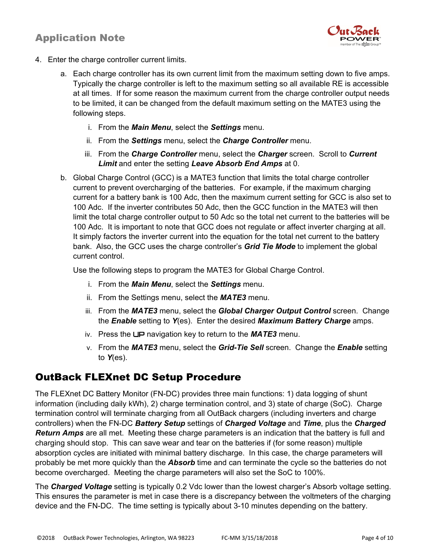

- 4. Enter the charge controller current limits.
	- a. Each charge controller has its own current limit from the maximum setting down to five amps. Typically the charge controller is left to the maximum setting so all available RE is accessible at all times. If for some reason the maximum current from the charge controller output needs to be limited, it can be changed from the default maximum setting on the MATE3 using the following steps.
		- i. From the *Main Menu*, select the *Settings* menu.
		- ii. From the *Settings* menu, select the *Charge Controller* menu.
		- iii. From the *Charge Controller* menu, select the *Charger* screen. Scroll to *Current Limit* and enter the setting *Leave Absorb End Amps* at 0.
	- b. Global Charge Control (GCC) is a MATE3 function that limits the total charge controller current to prevent overcharging of the batteries. For example, if the maximum charging current for a battery bank is 100 Adc, then the maximum current setting for GCC is also set to 100 Adc. If the inverter contributes 50 Adc, then the GCC function in the MATE3 will then limit the total charge controller output to 50 Adc so the total net current to the batteries will be 100 Adc. It is important to note that GCC does not regulate or affect inverter charging at all. It simply factors the inverter current into the equation for the total net current to the battery bank. Also, the GCC uses the charge controller's *Grid Tie Mode* to implement the global current control.

Use the following steps to program the MATE3 for Global Charge Control.

- i. From the *Main Menu*, select the *Settings* menu.
- ii. From the Settings menu, select the *MATE3* menu.
- iii. From the *MATE3* menu, select the *Global Charger Output Control* screen. Change the *Enable* setting to *Y*(es). Enter the desired *Maximum Battery Charge* amps.
- iv. Press the UP navigation key to return to the *MATE3* menu.
- v. From the *MATE3* menu, select the *Grid-Tie Sell* screen. Change the *Enable* setting to *Y*(es).

# OutBack FLEXnet DC Setup Procedure

The FLEXnet DC Battery Monitor (FN-DC) provides three main functions: 1) data logging of shunt information (including daily kWh), 2) charge termination control, and 3) state of charge (SoC). Charge termination control will terminate charging from all OutBack chargers (including inverters and charge controllers) when the FN-DC *Battery Setup* settings of *Charged Voltage* and *Time*, plus the *Charged Return Amps* are all met. Meeting these charge parameters is an indication that the battery is full and charging should stop. This can save wear and tear on the batteries if (for some reason) multiple absorption cycles are initiated with minimal battery discharge. In this case, the charge parameters will probably be met more quickly than the *Absorb* time and can terminate the cycle so the batteries do not become overcharged. Meeting the charge parameters will also set the SoC to 100%.

The *Charged Voltage* setting is typically 0.2 Vdc lower than the lowest charger's Absorb voltage setting. This ensures the parameter is met in case there is a discrepancy between the voltmeters of the charging device and the FN-DC. The time setting is typically about 3-10 minutes depending on the battery.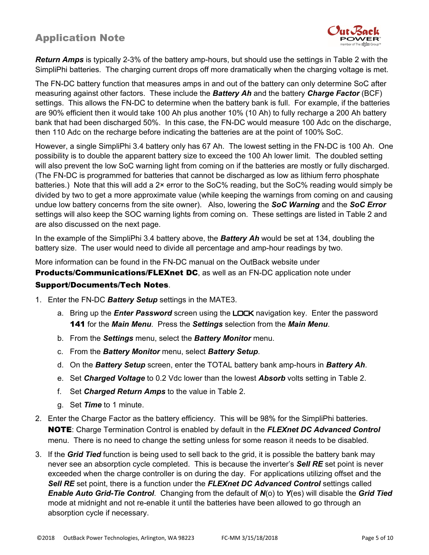

*Return Amps* is typically 2-3% of the battery amp-hours, but should use the settings in Table 2 with the SimpliPhi batteries. The charging current drops off more dramatically when the charging voltage is met.

The FN-DC battery function that measures amps in and out of the battery can only determine SoC after measuring against other factors. These include the *Battery Ah* and the battery *Charge Factor* (BCF) settings. This allows the FN-DC to determine when the battery bank is full. For example, if the batteries are 90% efficient then it would take 100 Ah plus another 10% (10 Ah) to fully recharge a 200 Ah battery bank that had been discharged 50%. In this case, the FN-DC would measure 100 Adc on the discharge, then 110 Adc on the recharge before indicating the batteries are at the point of 100% SoC.

However, a single SimpliPhi 3.4 battery only has 67 Ah. The lowest setting in the FN-DC is 100 Ah. One possibility is to double the apparent battery size to exceed the 100 Ah lower limit. The doubled setting will also prevent the low SoC warning light from coming on if the batteries are mostly or fully discharged. (The FN-DC is programmed for batteries that cannot be discharged as low as lithium ferro phosphate batteries.) Note that this will add a 2x error to the SoC% reading, but the SoC% reading would simply be divided by two to get a more approximate value (while keeping the warnings from coming on and causing undue low battery concerns from the site owner). Also, lowering the *SoC Warning* and the *SoC Error* settings will also keep the SOC warning lights from coming on. These settings are listed in Table 2 and are also discussed on the next page.

In the example of the SimpliPhi 3.4 battery above, the *Battery Ah* would be set at 134, doubling the battery size. The user would need to divide all percentage and amp-hour readings by two.

More information can be found in the FN-DC manual on the OutBack website under

**Products/Communications/FLEXnet DC**, as well as an FN-DC application note under

#### Support/Documents/Tech Notes.

- 1. Enter the FN-DC *Battery Setup* settings in the MATE3.
	- a. Bring up the *Enter Password* screen using the LOCK navigation key. Enter the password 141 for the *Main Menu*. Press the *Settings* selection from the *Main Menu*.
	- b. From the *Settings* menu, select the *Battery Monitor* menu.
	- c. From the *Battery Monitor* menu, select *Battery Setup*.
	- d. On the *Battery Setup* screen, enter the TOTAL battery bank amp-hours in *Battery Ah*.
	- e. Set *Charged Voltage* to 0.2 Vdc lower than the lowest *Absorb* volts setting in Table 2.
	- f. Set *Charged Return Amps* to the value in Table 2.
	- g. Set *Time* to 1 minute.
- 2. Enter the Charge Factor as the battery efficiency. This will be 98% for the SimpliPhi batteries. NOTE: Charge Termination Control is enabled by default in the *FLEXnet DC Advanced Control* menu. There is no need to change the setting unless for some reason it needs to be disabled.
- 3. If the *Grid Tied* function is being used to sell back to the grid, it is possible the battery bank may never see an absorption cycle completed. This is because the inverter's *Sell RE* set point is never exceeded when the charge controller is on during the day. For applications utilizing offset and the *Sell RE* set point, there is a function under the *FLEXnet DC Advanced Control* settings called *Enable Auto Grid-Tie Control*. Changing from the default of *N*(o) to *Y*(es) will disable the *Grid Tied* mode at midnight and not re-enable it until the batteries have been allowed to go through an absorption cycle if necessary.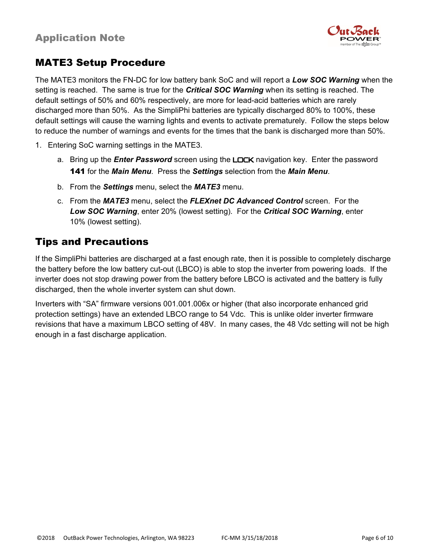

# MATE3 Setup Procedure

The MATE3 monitors the FN-DC for low battery bank SoC and will report a *Low SOC Warning* when the setting is reached. The same is true for the *Critical SOC Warning* when its setting is reached. The default settings of 50% and 60% respectively, are more for lead-acid batteries which are rarely discharged more than 50%. As the SimpliPhi batteries are typically discharged 80% to 100%, these default settings will cause the warning lights and events to activate prematurely. Follow the steps below to reduce the number of warnings and events for the times that the bank is discharged more than 50%.

- 1. Entering SoC warning settings in the MATE3.
	- a. Bring up the *Enter Password* screen using the LOCK navigation key. Enter the password 141 for the *Main Menu*. Press the *Settings* selection from the *Main Menu*.
	- b. From the *Settings* menu, select the *MATE3* menu.
	- c. From the *MATE3* menu, select the *FLEXnet DC Advanced Control* screen. For the *Low SOC Warning*, enter 20% (lowest setting). For the *Critical SOC Warning*, enter 10% (lowest setting).

### Tips and Precautions

If the SimpliPhi batteries are discharged at a fast enough rate, then it is possible to completely discharge the battery before the low battery cut-out (LBCO) is able to stop the inverter from powering loads. If the inverter does not stop drawing power from the battery before LBCO is activated and the battery is fully discharged, then the whole inverter system can shut down.

Inverters with "SA" firmware versions 001.001.006x or higher (that also incorporate enhanced grid protection settings) have an extended LBCO range to 54 Vdc. This is unlike older inverter firmware revisions that have a maximum LBCO setting of 48V. In many cases, the 48 Vdc setting will not be high enough in a fast discharge application.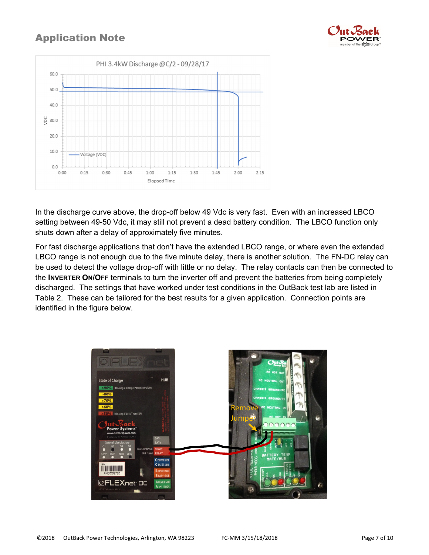



In the discharge curve above, the drop-off below 49 Vdc is very fast. Even with an increased LBCO setting between 49-50 Vdc, it may still not prevent a dead battery condition. The LBCO function only shuts down after a delay of approximately five minutes.

For fast discharge applications that don't have the extended LBCO range, or where even the extended LBCO range is not enough due to the five minute delay, there is another solution. The FN-DC relay can be used to detect the voltage drop-off with little or no delay. The relay contacts can then be connected to the **INVERTER ON/OFF** terminals to turn the inverter off and prevent the batteries from being completely discharged. The settings that have worked under test conditions in the OutBack test lab are listed in Table 2. These can be tailored for the best results for a given application. Connection points are identified in the figure below.

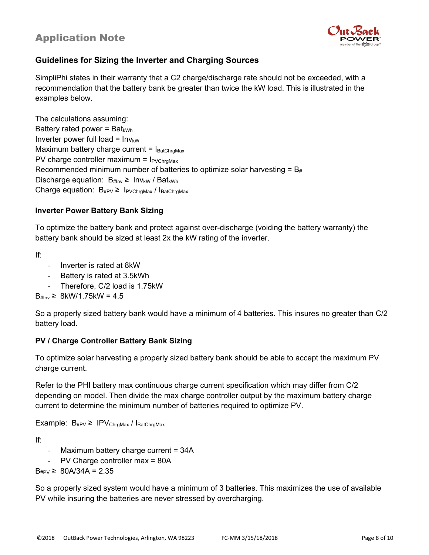

### **Guidelines for Sizing the Inverter and Charging Sources**

SimpliPhi states in their warranty that a C2 charge/discharge rate should not be exceeded, with a recommendation that the battery bank be greater than twice the kW load. This is illustrated in the examples below.

The calculations assuming: Battery rated power =  $Bat_{kWh}$ Inverter power full load =  $Inv_{kW}$ Maximum battery charge current =  $I<sub>BatChrgMax</sub>$ PV charge controller maximum =  $I_{PVChraMax}$ Recommended minimum number of batteries to optimize solar harvesting =  $B_{#}$ Discharge equation:  $B_{\#Inv} \geq Inv_{KW} / Bat_{KWh}$ Charge equation:  $B_{\text{#PV}} \geq I_{\text{PVChrgMax}}/I_{\text{BatChrgMax}}$ 

### **Inverter Power Battery Bank Sizing**

To optimize the battery bank and protect against over-discharge (voiding the battery warranty) the battery bank should be sized at least 2x the kW rating of the inverter.

If:

- Inverter is rated at 8kW
- Battery is rated at 3.5kWh
- Therefore, C/2 load is 1.75kW

 $B_{\#} \geq 8$ kW/1.75kW = 4.5

So a properly sized battery bank would have a minimum of 4 batteries. This insures no greater than C/2 battery load.

### **PV / Charge Controller Battery Bank Sizing**

To optimize solar harvesting a properly sized battery bank should be able to accept the maximum PV charge current.

Refer to the PHI battery max continuous charge current specification which may differ from C/2 depending on model. Then divide the max charge controller output by the maximum battery charge current to determine the minimum number of batteries required to optimize PV.

Example:  $B_{\text{#PV}} \geq IPV_{ChrgMax} / I_{BatChrgMax}$ 

If:

- Maximum battery charge current = 34A
- PV Charge controller max = 80A

 $B_{\text{HPV}} \geq 80A/34A = 2.35$ 

So a properly sized system would have a minimum of 3 batteries. This maximizes the use of available PV while insuring the batteries are never stressed by overcharging.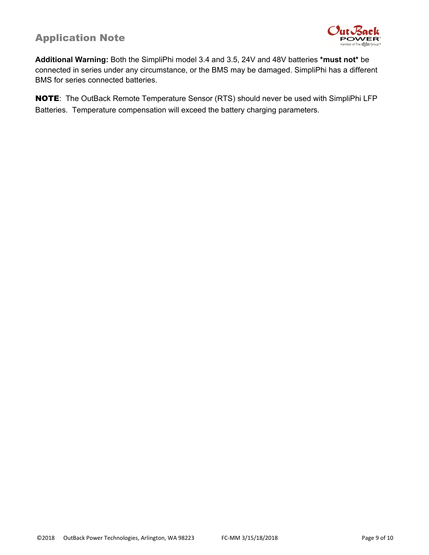

**Additional Warning:** Both the SimpliPhi model 3.4 and 3.5, 24V and 48V batteries **\*must not\*** be connected in series under any circumstance, or the BMS may be damaged. SimpliPhi has a different BMS for series connected batteries.

NOTE: The OutBack Remote Temperature Sensor (RTS) should never be used with SimpliPhi LFP Batteries. Temperature compensation will exceed the battery charging parameters.